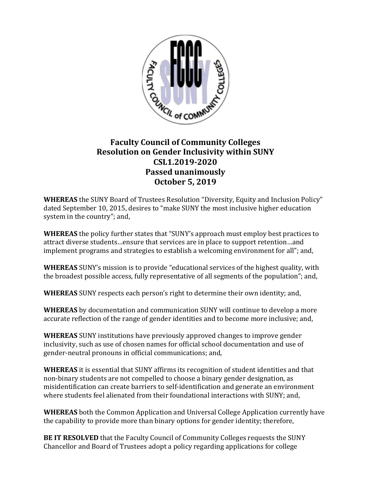

## **Faculty Council of Community Colleges Resolution on Gender Inclusivity within SUNY CSL1.2019-2020 Passed unanimously October 5, 2019**

**WHEREAS** the SUNY Board of Trustees Resolution "Diversity, Equity and Inclusion Policy" dated September 10, 2015, desires to "make SUNY the most inclusive higher education system in the country"; and,

**WHEREAS** the policy further states that "SUNY's approach must employ best practices to attract diverse students…ensure that services are in place to support retention…and implement programs and strategies to establish a welcoming environment for all"; and,

**WHEREAS** SUNY's mission is to provide "educational services of the highest quality, with the broadest possible access, fully representative of all segments of the population"; and,

**WHEREAS** SUNY respects each person's right to determine their own identity; and,

**WHEREAS** by documentation and communication SUNY will continue to develop a more accurate reflection of the range of gender identities and to become more inclusive; and,

**WHEREAS** SUNY institutions have previously approved changes to improve gender inclusivity, such as use of chosen names for official school documentation and use of gender-neutral pronouns in official communications; and,

**WHEREAS** it is essential that SUNY affirms its recognition of student identities and that non-binary students are not compelled to choose a binary gender designation, as misidentification can create barriers to self-identification and generate an environment where students feel alienated from their foundational interactions with SUNY; and,

**WHEREAS** both the Common Application and Universal College Application currently have the capability to provide more than binary options for gender identity; therefore,

**BE IT RESOLVED** that the Faculty Council of Community Colleges requests the SUNY Chancellor and Board of Trustees adopt a policy regarding applications for college